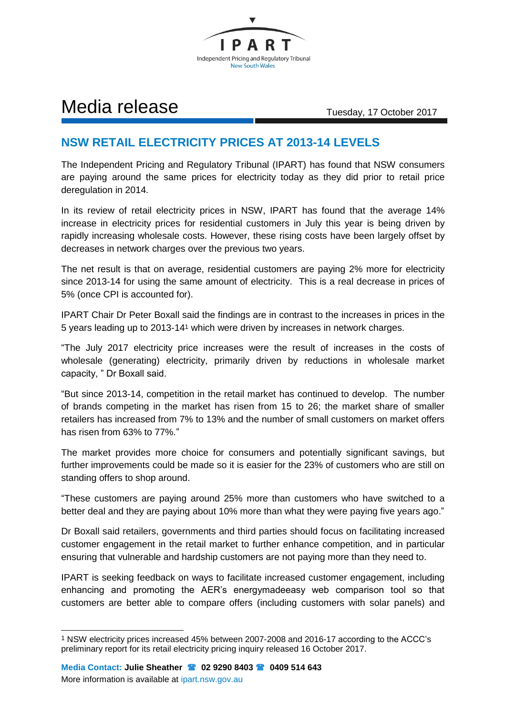

## Media release Tuesday, 17 October 2017

## **NSW RETAIL ELECTRICITY PRICES AT 2013-14 LEVELS**

The Independent Pricing and Regulatory Tribunal (IPART) has found that NSW consumers are paying around the same prices for electricity today as they did prior to retail price deregulation in 2014.

In its review of retail electricity prices in NSW, IPART has found that the average 14% increase in electricity prices for residential customers in July this year is being driven by rapidly increasing wholesale costs. However, these rising costs have been largely offset by decreases in network charges over the previous two years.

The net result is that on average, residential customers are paying 2% more for electricity since 2013-14 for using the same amount of electricity. This is a real decrease in prices of 5% (once CPI is accounted for).

IPART Chair Dr Peter Boxall said the findings are in contrast to the increases in prices in the 5 years leading up to 2013-14<sup>1</sup> which were driven by increases in network charges.

"The July 2017 electricity price increases were the result of increases in the costs of wholesale (generating) electricity, primarily driven by reductions in wholesale market capacity, " Dr Boxall said.

"But since 2013-14, competition in the retail market has continued to develop. The number of brands competing in the market has risen from 15 to 26; the market share of smaller retailers has increased from 7% to 13% and the number of small customers on market offers has risen from 63% to 77%."

The market provides more choice for consumers and potentially significant savings, but further improvements could be made so it is easier for the 23% of customers who are still on standing offers to shop around.

"These customers are paying around 25% more than customers who have switched to a better deal and they are paying about 10% more than what they were paying five years ago."

Dr Boxall said retailers, governments and third parties should focus on facilitating increased customer engagement in the retail market to further enhance competition, and in particular ensuring that vulnerable and hardship customers are not paying more than they need to.

IPART is seeking feedback on ways to facilitate increased customer engagement, including enhancing and promoting the AER's energymadeeasy web comparison tool so that customers are better able to compare offers (including customers with solar panels) and

-

<sup>1</sup> NSW electricity prices increased 45% between 2007-2008 and 2016-17 according to the ACCC's preliminary report for its retail electricity pricing inquiry released 16 October 2017.